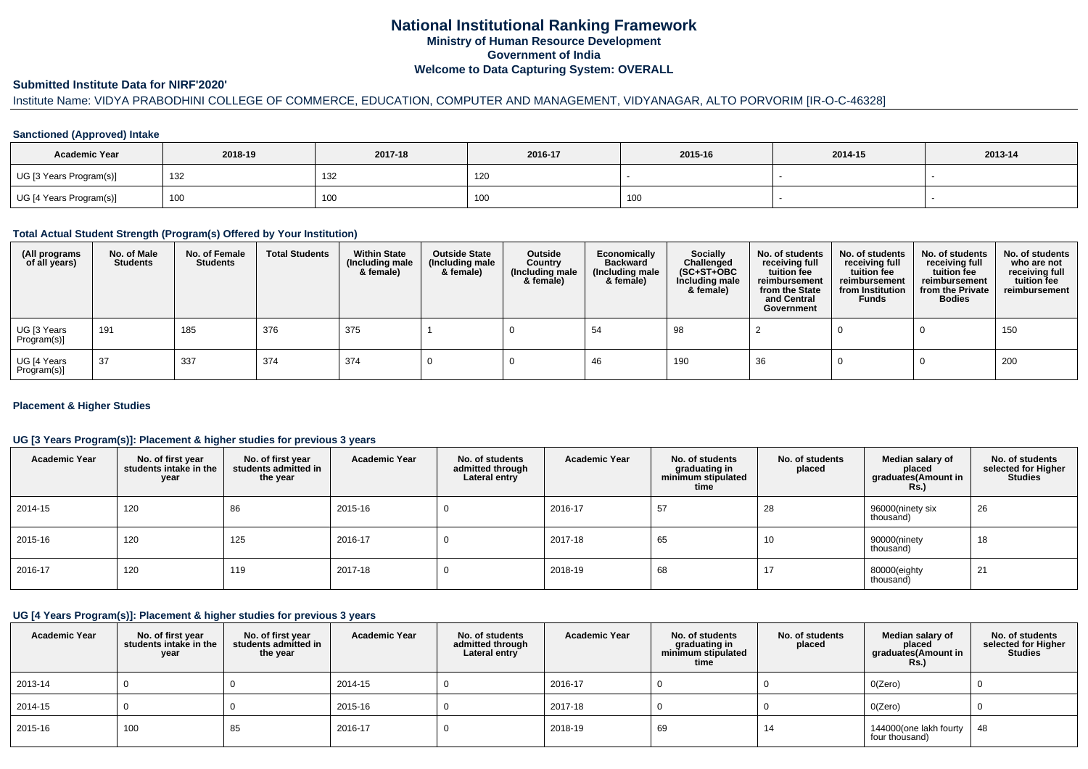# **National Institutional Ranking FrameworkMinistry of Human Resource DevelopmentGovernment of IndiaWelcome to Data Capturing System: OVERALL**

## **Submitted Institute Data for NIRF'2020'**

# Institute Name: VIDYA PRABODHINI COLLEGE OF COMMERCE, EDUCATION, COMPUTER AND MANAGEMENT, VIDYANAGAR, ALTO PORVORIM [IR-O-C-46328]

## **Sanctioned (Approved) Intake**

| <b>Academic Year</b>    | 2018-19 | 2017-18 | 2016-17 | 2015-16           | 2014-15 | 2013-14 |
|-------------------------|---------|---------|---------|-------------------|---------|---------|
| UG [3 Years Program(s)] | 132     | 132     | 120     |                   |         |         |
| UG [4 Years Program(s)] | 100     | 100     | 100     | 100<br><b>IUU</b> |         |         |

#### **Total Actual Student Strength (Program(s) Offered by Your Institution)**

| (All programs<br>of all years) | No. of Male<br><b>Students</b> | No. of Female<br><b>Students</b> | <b>Total Students</b> | <b>Within State</b><br>(Including male<br>& female) | <b>Outside State</b><br>(Including male<br>& female) | Outside<br>Country<br>(Including male<br>& female) | Economically<br><b>Backward</b><br>(Including male<br>& female) | Socially<br>Challenged<br>$(SC+ST+OBC)$<br>Including male<br>& female) | No. of students<br>receiving full<br>tuition fee<br>reimbursement<br>from the State<br>and Central<br>Government | No. of students<br>receiving full<br>tuition fee<br>reimbursement<br>from Institution<br><b>Funds</b> | No. of students<br>receiving full<br>tuition fee<br>reimbursement<br>from the Private<br><b>Bodies</b> | No. of students<br>who are not<br>receiving full<br>tuition fee<br>reimbursement |
|--------------------------------|--------------------------------|----------------------------------|-----------------------|-----------------------------------------------------|------------------------------------------------------|----------------------------------------------------|-----------------------------------------------------------------|------------------------------------------------------------------------|------------------------------------------------------------------------------------------------------------------|-------------------------------------------------------------------------------------------------------|--------------------------------------------------------------------------------------------------------|----------------------------------------------------------------------------------|
| UG [3 Years<br>Program(s)]     | 191                            | 185                              | 376                   | 375                                                 |                                                      |                                                    | 54                                                              | 98                                                                     |                                                                                                                  |                                                                                                       |                                                                                                        | 150                                                                              |
| UG [4 Years<br>Program(s)]     | -37                            | 337                              | 374                   | 374                                                 |                                                      |                                                    | 46                                                              | 190                                                                    | -36                                                                                                              |                                                                                                       |                                                                                                        | 200                                                                              |

## **Placement & Higher Studies**

## **UG [3 Years Program(s)]: Placement & higher studies for previous 3 years**

| <b>Academic Year</b> | No. of first year<br>students intake in the<br>year | No. of first year<br>students admitted in<br>the year | <b>Academic Year</b> | No. of students<br>admitted through<br>Lateral entry | <b>Academic Year</b> | No. of students<br>graduating in<br>minimum stipulated<br>time | No. of students<br>placed | Median salary of<br>placed<br>graduates(Amount in<br>Rs. | No. of students<br>selected for Higher<br><b>Studies</b> |
|----------------------|-----------------------------------------------------|-------------------------------------------------------|----------------------|------------------------------------------------------|----------------------|----------------------------------------------------------------|---------------------------|----------------------------------------------------------|----------------------------------------------------------|
| 2014-15              | 120                                                 | 86                                                    | 2015-16              | U                                                    | 2016-17              | 57                                                             | 28                        | 96000(ninety six<br>thousand)                            | 26                                                       |
| 2015-16              | 120                                                 | 125                                                   | 2016-17              | U                                                    | 2017-18              | 65                                                             | 10                        | 90000(ninety<br>thousand)                                | 18                                                       |
| 2016-17              | 120                                                 | 119                                                   | 2017-18              | υ                                                    | 2018-19              | 68                                                             | 17                        | 80000(eighty<br>thousand)                                | 21                                                       |

## **UG [4 Years Program(s)]: Placement & higher studies for previous 3 years**

| <b>Academic Year</b> | No. of first year<br>students intake in the<br>year | No. of first vear<br>students admitted in<br>the year | <b>Academic Year</b> | No. of students<br>admitted through<br>Lateral entry | <b>Academic Year</b> | No. of students<br>graduating in<br>minimum stipulated<br>time | No. of students<br>placed | Median salary of<br>placed<br>graduates(Amount in<br><b>Rs.)</b> | No. of students<br>selected for Higher<br><b>Studies</b> |
|----------------------|-----------------------------------------------------|-------------------------------------------------------|----------------------|------------------------------------------------------|----------------------|----------------------------------------------------------------|---------------------------|------------------------------------------------------------------|----------------------------------------------------------|
| 2013-14              |                                                     |                                                       | 2014-15              |                                                      | 2016-17              |                                                                |                           | O(Zero)                                                          |                                                          |
| 2014-15              |                                                     |                                                       | 2015-16              |                                                      | 2017-18              |                                                                |                           | O(Zero)                                                          |                                                          |
| 2015-16              | 100                                                 | 85                                                    | 2016-17              |                                                      | 2018-19              | 69                                                             | 14                        | 144000(one lakh fourty<br>four thousand)                         | 48                                                       |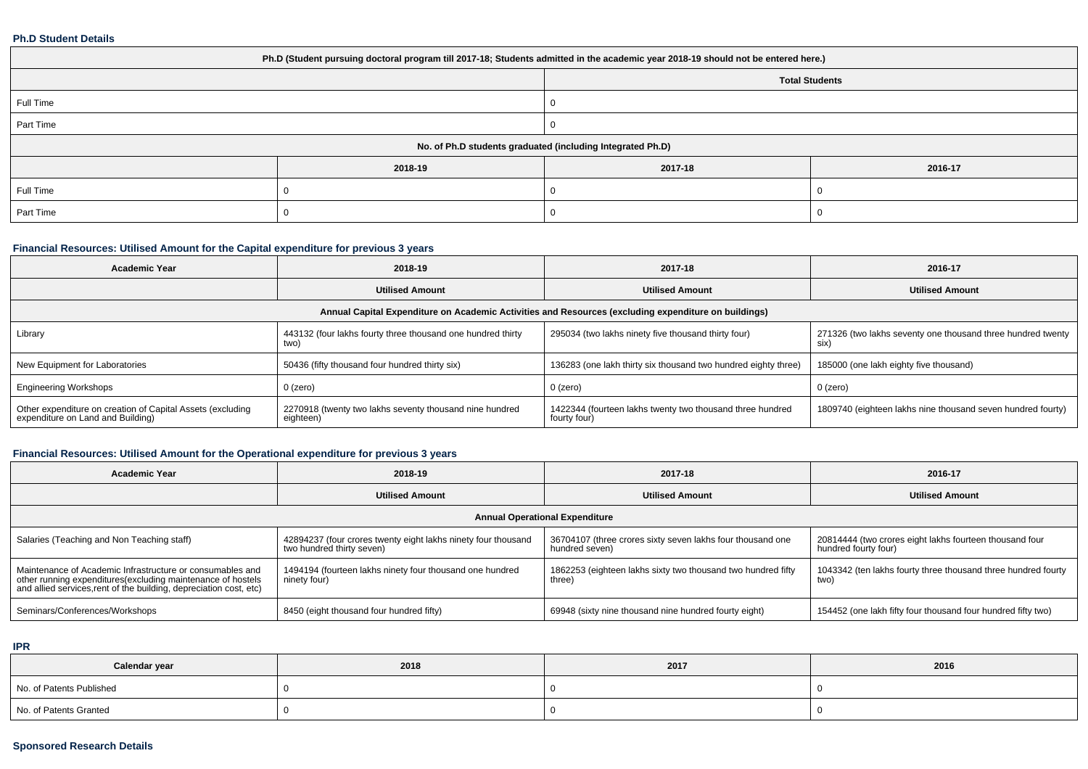#### **Ph.D Student Details**

| Ph.D (Student pursuing doctoral program till 2017-18; Students admitted in the academic year 2018-19 should not be entered here.) |         |                       |         |  |  |
|-----------------------------------------------------------------------------------------------------------------------------------|---------|-----------------------|---------|--|--|
|                                                                                                                                   |         | <b>Total Students</b> |         |  |  |
| Full Time                                                                                                                         |         |                       |         |  |  |
| Part Time                                                                                                                         |         |                       |         |  |  |
| No. of Ph.D students graduated (including Integrated Ph.D)                                                                        |         |                       |         |  |  |
|                                                                                                                                   | 2018-19 | 2017-18               | 2016-17 |  |  |
| Full Time                                                                                                                         |         |                       |         |  |  |
| Part Time                                                                                                                         |         |                       |         |  |  |

# **Financial Resources: Utilised Amount for the Capital expenditure for previous 3 years**

| <b>Academic Year</b>                                                                                 | 2018-19                                                              | 2017-18                                                                   | 2016-17                                                             |  |  |  |  |
|------------------------------------------------------------------------------------------------------|----------------------------------------------------------------------|---------------------------------------------------------------------------|---------------------------------------------------------------------|--|--|--|--|
|                                                                                                      | <b>Utilised Amount</b>                                               | <b>Utilised Amount</b>                                                    | <b>Utilised Amount</b>                                              |  |  |  |  |
| Annual Capital Expenditure on Academic Activities and Resources (excluding expenditure on buildings) |                                                                      |                                                                           |                                                                     |  |  |  |  |
| Library                                                                                              | 443132 (four lakhs fourty three thousand one hundred thirty<br>two)  | 295034 (two lakhs ninety five thousand thirty four)                       | 271326 (two lakhs seventy one thousand three hundred twenty<br>SIX) |  |  |  |  |
| New Equipment for Laboratories                                                                       | 50436 (fifty thousand four hundred thirty six)                       | 136283 (one lakh thirty six thousand two hundred eighty three)            | 185000 (one lakh eighty five thousand)                              |  |  |  |  |
| <b>Engineering Workshops</b>                                                                         | 0 (zero)                                                             | $0$ (zero)                                                                | 0 (zero)                                                            |  |  |  |  |
| Other expenditure on creation of Capital Assets (excluding<br>expenditure on Land and Building)      | 2270918 (twenty two lakhs seventy thousand nine hundred<br>eighteen) | 1422344 (fourteen lakhs twenty two thousand three hundred<br>fourty four) | 1809740 (eighteen lakhs nine thousand seven hundred fourty)         |  |  |  |  |

# **Financial Resources: Utilised Amount for the Operational expenditure for previous 3 years**

| <b>Academic Year</b>                                                                                                                                                                            | 2018-19                                                                                    | 2017-18                                                                      | 2016-17                                                                         |  |  |  |  |
|-------------------------------------------------------------------------------------------------------------------------------------------------------------------------------------------------|--------------------------------------------------------------------------------------------|------------------------------------------------------------------------------|---------------------------------------------------------------------------------|--|--|--|--|
|                                                                                                                                                                                                 | <b>Utilised Amount</b>                                                                     | <b>Utilised Amount</b>                                                       | <b>Utilised Amount</b>                                                          |  |  |  |  |
| <b>Annual Operational Expenditure</b>                                                                                                                                                           |                                                                                            |                                                                              |                                                                                 |  |  |  |  |
| Salaries (Teaching and Non Teaching staff)                                                                                                                                                      | 42894237 (four crores twenty eight lakhs ninety four thousand<br>two hundred thirty seven) | 36704107 (three crores sixty seven lakhs four thousand one<br>hundred seven) | 20814444 (two crores eight lakhs fourteen thousand four<br>hundred fourty four) |  |  |  |  |
| Maintenance of Academic Infrastructure or consumables and<br>other running expenditures (excluding maintenance of hostels<br>and allied services, rent of the building, depreciation cost, etc) | 1494194 (fourteen lakhs ninety four thousand one hundred<br>ninety four)                   | 1862253 (eighteen lakhs sixty two thousand two hundred fifty<br>three)       | 1043342 (ten lakhs fourty three thousand three hundred fourty<br>two)           |  |  |  |  |
| Seminars/Conferences/Workshops                                                                                                                                                                  | 8450 (eight thousand four hundred fifty)                                                   | 69948 (sixty nine thousand nine hundred fourty eight)                        | 154452 (one lakh fifty four thousand four hundred fifty two)                    |  |  |  |  |

**IPR**

| Calendar year            | 2018 | 2017 | 2016 |
|--------------------------|------|------|------|
| No. of Patents Published |      |      |      |
| No. of Patents Granted   |      |      |      |

## **Sponsored Research Details**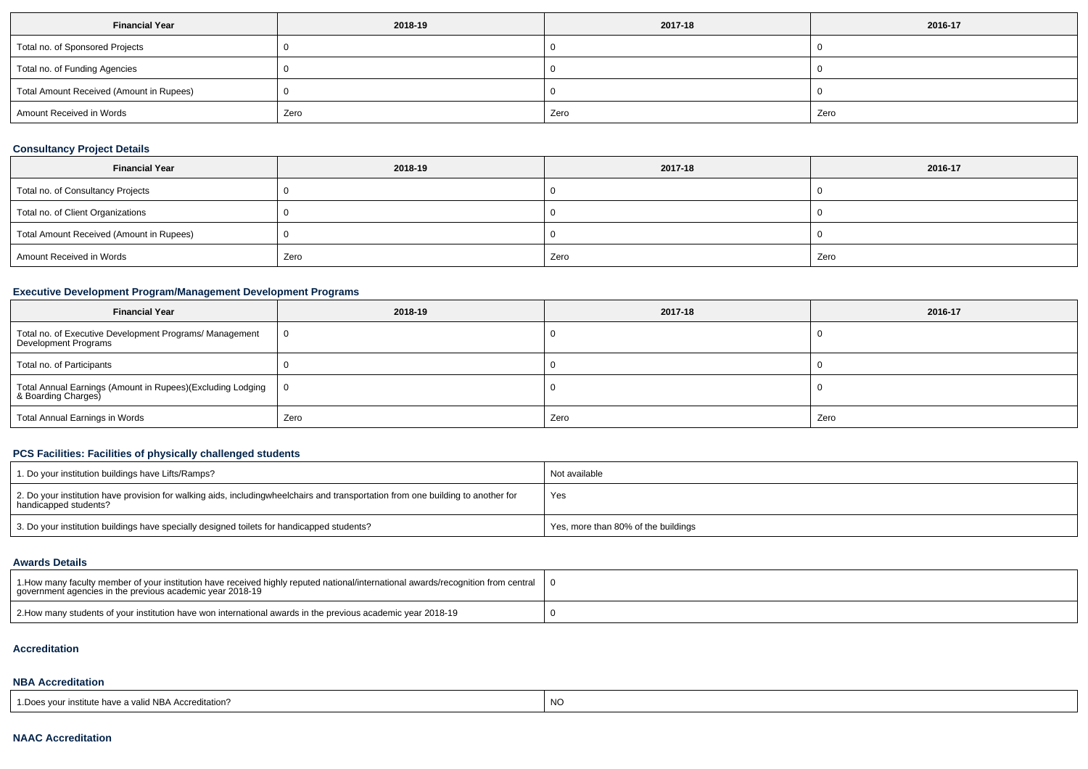| <b>Financial Year</b>                    | 2018-19 | 2017-18 | 2016-17 |
|------------------------------------------|---------|---------|---------|
| Total no. of Sponsored Projects          |         |         |         |
| Total no. of Funding Agencies            |         |         |         |
| Total Amount Received (Amount in Rupees) |         |         |         |
| Amount Received in Words                 | Zero    | Zero    | Zero    |

# **Consultancy Project Details**

| <b>Financial Year</b>                    | 2018-19 | 2017-18 | 2016-17 |
|------------------------------------------|---------|---------|---------|
| Total no. of Consultancy Projects        |         |         |         |
| Total no. of Client Organizations        |         |         |         |
| Total Amount Received (Amount in Rupees) |         |         |         |
| Amount Received in Words                 | Zero    | Zero    | Zero    |

## **Executive Development Program/Management Development Programs**

| <b>Financial Year</b>                                                             | 2018-19 | 2017-18 | 2016-17 |
|-----------------------------------------------------------------------------------|---------|---------|---------|
| Total no. of Executive Development Programs/ Management<br>Development Programs   |         |         |         |
| Total no. of Participants                                                         |         |         |         |
| Total Annual Earnings (Amount in Rupees)(Excluding Lodging<br>& Boarding Charges) |         |         |         |
| Total Annual Earnings in Words                                                    | Zero    | Zero    | Zero    |

# **PCS Facilities: Facilities of physically challenged students**

| 1. Do your institution buildings have Lifts/Ramps?                                                                                                        | Not available                       |
|-----------------------------------------------------------------------------------------------------------------------------------------------------------|-------------------------------------|
| 2. Do your institution have provision for walking aids, includingwheelchairs and transportation from one building to another for<br>handicapped students? | Yes                                 |
| 3. Do your institution buildings have specially designed toilets for handicapped students?                                                                | Yes, more than 80% of the buildings |

# **Awards Details**

| 1. How many faculty member of your institution have received highly reputed national/international awards/recognition from central<br>government agencies in the previous academic year 2018-19 |  |
|-------------------------------------------------------------------------------------------------------------------------------------------------------------------------------------------------|--|
| 2. Bow many students of your institution have won international awards in the previous academic year 2018-19                                                                                    |  |

#### **Accreditation**

# **NBA Accreditation**

| 1. Does vour institute have a valid NBA Accreditation? |  |
|--------------------------------------------------------|--|
|--------------------------------------------------------|--|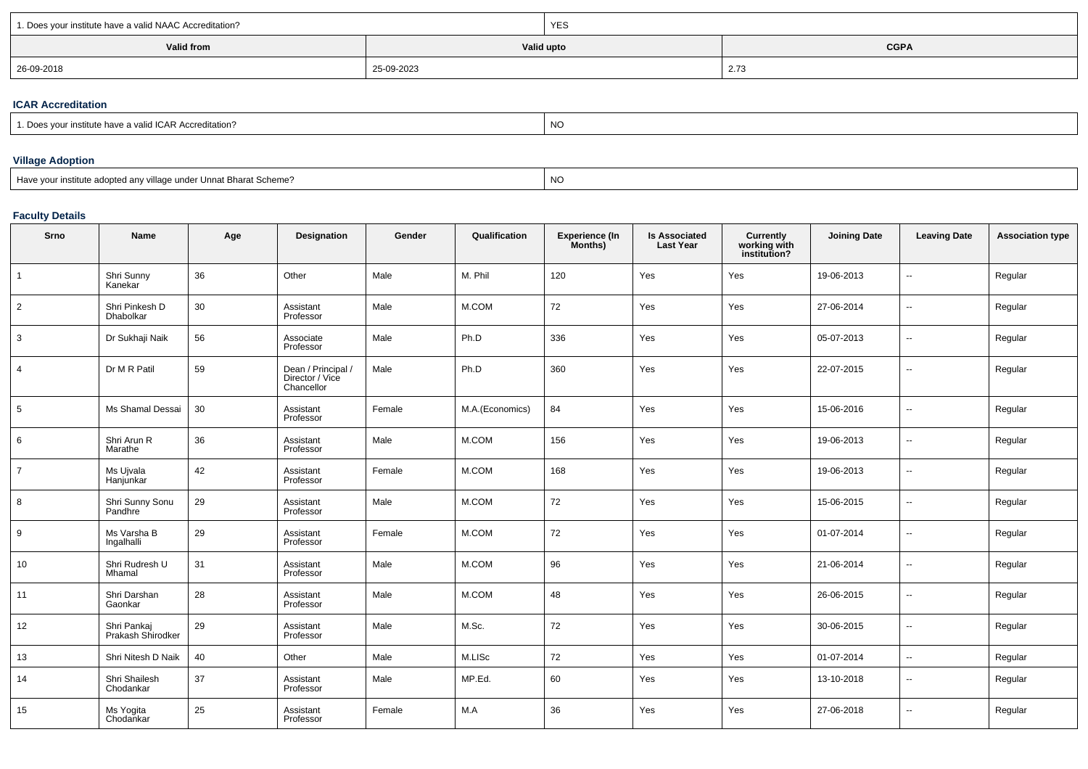| 1. Does your institute have a valid NAAC Accreditation? |            | <b>YES</b> |                                |  |  |  |
|---------------------------------------------------------|------------|------------|--------------------------------|--|--|--|
| Valid from                                              |            | Valid upto | <b>CGPA</b>                    |  |  |  |
| 26-09-2018                                              | 25-09-2023 |            | $\sim$ $\rightarrow$<br>2. I C |  |  |  |

## **ICAR Accreditation**

| ; vour institute have a :<br>a valid ICAR Accreditation? | <b>NO</b> |
|----------------------------------------------------------|-----------|
|                                                          |           |

# **Village Adoption**

expression and the contract of the contract of the contract of the contract of the contract of the contract of the contract of the contract of the contract of the contract of the contract of the contract of the contract of

## **Faculty Details**

| Srno           | Name                             | Age | Designation                                         | Gender | Qualification   | <b>Experience (In</b><br>Months) | <b>Is Associated</b><br><b>Last Year</b> | Currently<br>working with<br>institution? | <b>Joining Date</b> | <b>Leaving Date</b>      | <b>Association type</b> |
|----------------|----------------------------------|-----|-----------------------------------------------------|--------|-----------------|----------------------------------|------------------------------------------|-------------------------------------------|---------------------|--------------------------|-------------------------|
| $\overline{1}$ | Shri Sunny<br>Kanekar            | 36  | Other                                               | Male   | M. Phil         | 120                              | Yes                                      | Yes                                       | 19-06-2013          | $\overline{a}$           | Regular                 |
| $\overline{2}$ | Shri Pinkesh D<br>Dhabolkar      | 30  | Assistant<br>Professor                              | Male   | M.COM           | 72                               | Yes                                      | Yes                                       | 27-06-2014          | --                       | Regular                 |
| $\mathbf{3}$   | Dr Sukhaji Naik                  | 56  | Associate<br>Professor                              | Male   | Ph.D            | 336                              | Yes                                      | Yes                                       | 05-07-2013          | $\overline{a}$           | Regular                 |
| $\overline{4}$ | Dr M R Patil                     | 59  | Dean / Principal /<br>Director / Vice<br>Chancellor | Male   | Ph.D            | 360                              | Yes                                      | Yes                                       | 22-07-2015          | $\overline{\phantom{a}}$ | Regular                 |
| 5              | Ms Shamal Dessai                 | 30  | Assistant<br>Professor                              | Female | M.A.(Economics) | 84                               | Yes                                      | Yes                                       | 15-06-2016          | $\sim$                   | Regular                 |
| 6              | Shri Arun R<br>Marathe           | 36  | Assistant<br>Professor                              | Male   | M.COM           | 156                              | Yes                                      | Yes                                       | 19-06-2013          | $\overline{\phantom{a}}$ | Regular                 |
| $\overline{7}$ | Ms Ujvala<br>Hanjunkar           | 42  | Assistant<br>Professor                              | Female | M.COM           | 168                              | Yes                                      | Yes                                       | 19-06-2013          | $\overline{\phantom{a}}$ | Regular                 |
| 8              | Shri Sunny Sonu<br>Pandhre       | 29  | Assistant<br>Professor                              | Male   | M.COM           | 72                               | Yes                                      | Yes                                       | 15-06-2015          | $\overline{\phantom{a}}$ | Regular                 |
| 9              | Ms Varsha B<br>Ingalhalli        | 29  | Assistant<br>Professor                              | Female | M.COM           | 72                               | Yes                                      | Yes                                       | 01-07-2014          | $\overline{\phantom{a}}$ | Regular                 |
| 10             | Shri Rudresh U<br>Mhamal         | 31  | Assistant<br>Professor                              | Male   | M.COM           | 96                               | Yes                                      | Yes                                       | 21-06-2014          | $\overline{\phantom{a}}$ | Regular                 |
| 11             | Shri Darshan<br>Gaonkar          | 28  | Assistant<br>Professor                              | Male   | M.COM           | 48                               | Yes                                      | Yes                                       | 26-06-2015          | --                       | Regular                 |
| 12             | Shri Pankaj<br>Prakash Shirodker | 29  | Assistant<br>Professor                              | Male   | M.Sc.           | 72                               | Yes                                      | Yes                                       | 30-06-2015          | --                       | Regular                 |
| 13             | Shri Nitesh D Naik               | 40  | Other                                               | Male   | M.LISc          | $72\,$                           | Yes                                      | Yes                                       | 01-07-2014          | $\overline{a}$           | Regular                 |
| 14             | Shri Shailesh<br>Chodankar       | 37  | Assistant<br>Professor                              | Male   | MP.Ed.          | 60                               | Yes                                      | Yes                                       | 13-10-2018          | $\overline{\phantom{a}}$ | Regular                 |
| 15             | Ms Yogita<br>Chodankar           | 25  | Assistant<br>Professor                              | Female | M.A             | 36                               | Yes                                      | Yes                                       | 27-06-2018          | $\overline{\phantom{a}}$ | Regular                 |